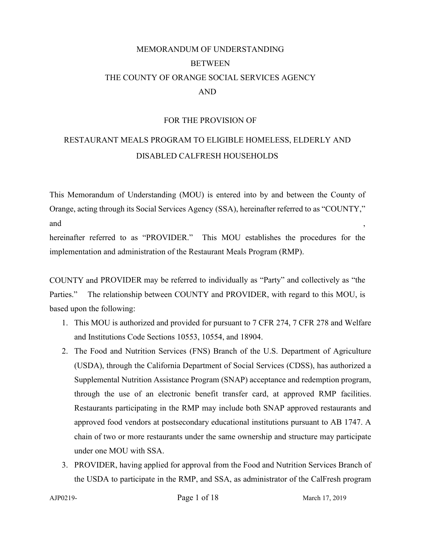# MEMORANDUM OF UNDERSTANDING **BETWEEN** THE COUNTY OF ORANGE SOCIAL SERVICES AGENCY AND

#### FOR THE PROVISION OF

## RESTAURANT MEALS PROGRAM TO ELIGIBLE HOMELESS, ELDERLY AND DISABLED CALFRESH HOUSEHOLDS

This Memorandum of Understanding (MOU) is entered into by and between the County of Orange, acting through its Social Services Agency (SSA), hereinafter referred to as "COUNTY," and  $\qquad \qquad ,$ 

hereinafter referred to as "PROVIDER." This MOU establishes the procedures for the implementation and administration of the Restaurant Meals Program (RMP).

COUNTY and PROVIDER may be referred to individually as "Party" and collectively as "the Parties." The relationship between COUNTY and PROVIDER, with regard to this MOU, is based upon the following:

- 1. This MOU is authorized and provided for pursuant to 7 CFR 274, 7 CFR 278 and Welfare and Institutions Code Sections 10553, 10554, and 18904.
- 2. The Food and Nutrition Services (FNS) Branch of the U.S. Department of Agriculture (USDA), through the California Department of Social Services (CDSS), has authorized a Supplemental Nutrition Assistance Program (SNAP) acceptance and redemption program, through the use of an electronic benefit transfer card, at approved RMP facilities. Restaurants participating in the RMP may include both SNAP approved restaurants and approved food vendors at postsecondary educational institutions pursuant to AB 1747. A chain of two or more restaurants under the same ownership and structure may participate under one MOU with SSA.
- <span id="page-0-0"></span>3. PROVIDER, having applied for approval from the Food and Nutrition Services Branch of the USDA to participate in the RMP, and SSA, as administrator of the CalFresh program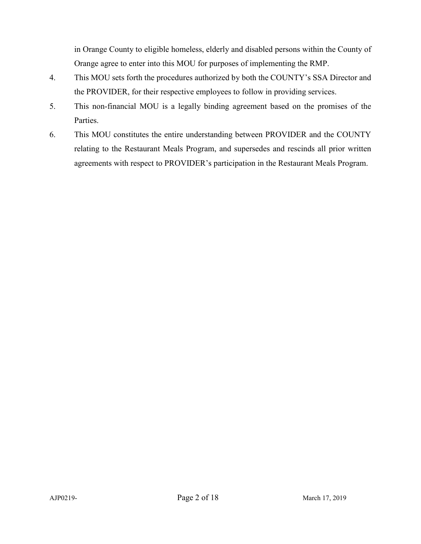in Orange County to eligible homeless, elderly and disabled persons within the County of Orange agree to enter into this MOU for purposes of implementing the RMP.

- 4. This MOU sets forth the procedures authorized by both the COUNTY's SSA Director and the PROVIDER, for their respective employees to follow in providing services.
- 5. This non-financial MOU is a legally binding agreement based on the promises of the Parties.
- 6. This MOU constitutes the entire understanding between PROVIDER and the COUNTY relating to the Restaurant Meals Program, and supersedes and rescinds all prior written agreements with respect to PROVIDER's participation in the Restaurant Meals Program.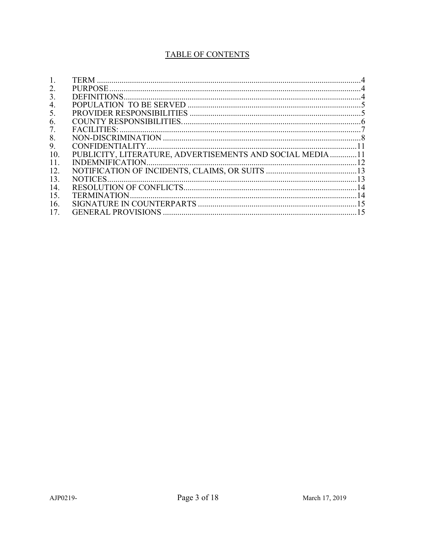## TABLE OF CONTENTS

| 2.  |                                                          |  |
|-----|----------------------------------------------------------|--|
| 3.  |                                                          |  |
| 4.  |                                                          |  |
| 5.  |                                                          |  |
| 6.  |                                                          |  |
| 7.  |                                                          |  |
| 8.  |                                                          |  |
| 9.  |                                                          |  |
| 10. | PUBLICITY, LITERATURE, ADVERTISEMENTS AND SOCIAL MEDIA11 |  |
| 11. |                                                          |  |
| 12. |                                                          |  |
| 13. |                                                          |  |
| 14. |                                                          |  |
| 15. |                                                          |  |
| 16. |                                                          |  |
| 17. |                                                          |  |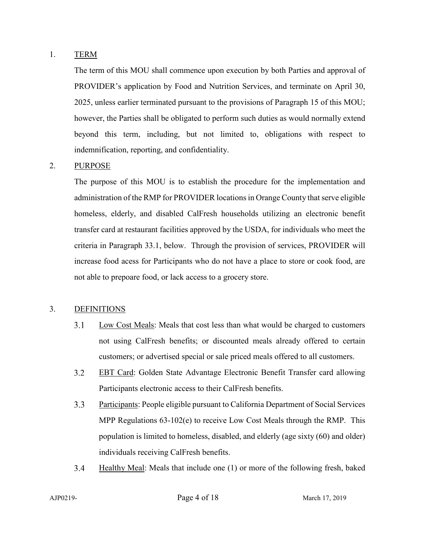#### 1. TERM

The term of this MOU shall commence upon execution by both Parties and approval of PROVIDER's application by Food and Nutrition Services, and terminate on April 30, 2025, unless earlier terminated pursuant to the provisions of Paragraph [15](#page-13-0) of this MOU; however, the Parties shall be obligated to perform such duties as would normally extend beyond this term, including, but not limited to, obligations with respect to indemnification, reporting, and confidentiality.

#### 2. PURPOSE

The purpose of this MOU is to establish the procedure for the implementation and administration of the RMP for PROVIDER locations in Orange County that serve eligible homeless, elderly, and disabled CalFresh households utilizing an electronic benefit transfer card at restaurant facilities approved by the USDA, for individuals who meet the criteria in Paragraph [33.1,](#page-0-0) below. Through the provision of services, PROVIDER will increase food acess for Participants who do not have a place to store or cook food, are not able to prepoare food, or lack access to a grocery store.

#### 3. DEFINITIONS

- $3.1$ Low Cost Meals: Meals that cost less than what would be charged to customers not using CalFresh benefits; or discounted meals already offered to certain customers; or advertised special or sale priced meals offered to all customers.
- $3.2$ EBT Card: Golden State Advantage Electronic Benefit Transfer card allowing Participants electronic access to their CalFresh benefits.
- $3.3$ Participants: People eligible pursuant to California Department of Social Services MPP Regulations  $63-102(e)$  to receive Low Cost Meals through the RMP. This population is limited to homeless, disabled, and elderly (age sixty (60) and older) individuals receiving CalFresh benefits.
- $3.4$ Healthy Meal: Meals that include one (1) or more of the following fresh, baked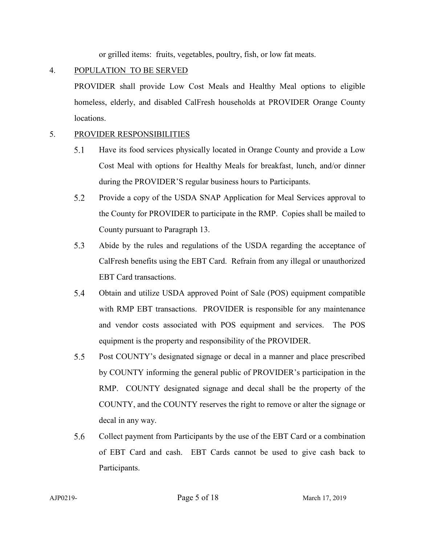or grilled items: fruits, vegetables, poultry, fish, or low fat meats.

### 4. POPULATION TO BE SERVED

PROVIDER shall provide Low Cost Meals and Healthy Meal options to eligible homeless, elderly, and disabled CalFresh households at PROVIDER Orange County locations.

#### 5. PROVIDER RESPONSIBILITIES

- 5.1 Have its food services physically located in Orange County and provide a Low Cost Meal with options for Healthy Meals for breakfast, lunch, and/or dinner during the PROVIDER'S regular business hours to Participants.
- 5.2 Provide a copy of the USDA SNAP Application for Meal Services approval to the County for PROVIDER to participate in the RMP. Copies shall be mailed to County pursuant to Paragraph [13.](#page-12-0)
- 5.3 Abide by the rules and regulations of the USDA regarding the acceptance of CalFresh benefits using the EBT Card. Refrain from any illegal or unauthorized EBT Card transactions.
- 5.4 Obtain and utilize USDA approved Point of Sale (POS) equipment compatible with RMP EBT transactions. PROVIDER is responsible for any maintenance and vendor costs associated with POS equipment and services. The POS equipment is the property and responsibility of the PROVIDER.
- $5.5$ Post COUNTY's designated signage or decal in a manner and place prescribed by COUNTY informing the general public of PROVIDER's participation in the RMP. COUNTY designated signage and decal shall be the property of the COUNTY, and the COUNTY reserves the right to remove or alter the signage or decal in any way.
- 5.6 Collect payment from Participants by the use of the EBT Card or a combination of EBT Card and cash. EBT Cards cannot be used to give cash back to Participants.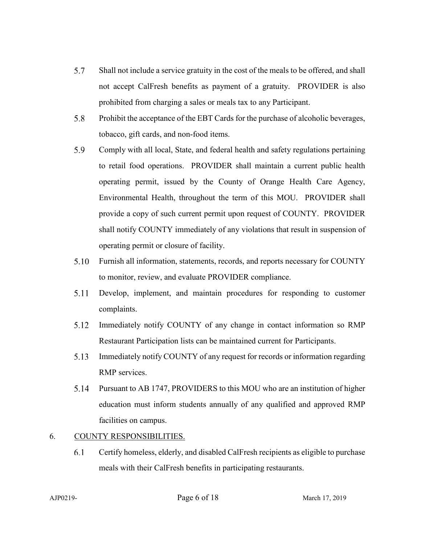- 5.7 Shall not include a service gratuity in the cost of the meals to be offered, and shall not accept CalFresh benefits as payment of a gratuity. PROVIDER is also prohibited from charging a sales or meals tax to any Participant.
- 5.8 Prohibit the acceptance of the EBT Cards for the purchase of alcoholic beverages, tobacco, gift cards, and non-food items.
- 5.9 Comply with all local, State, and federal health and safety regulations pertaining to retail food operations. PROVIDER shall maintain a current public health operating permit, issued by the County of Orange Health Care Agency, Environmental Health, throughout the term of this MOU. PROVIDER shall provide a copy of such current permit upon request of COUNTY. PROVIDER shall notify COUNTY immediately of any violations that result in suspension of operating permit or closure of facility.
- 5.10 Furnish all information, statements, records, and reports necessary for COUNTY to monitor, review, and evaluate PROVIDER compliance.
- 5.11 Develop, implement, and maintain procedures for responding to customer complaints.
- 5.12 Immediately notify COUNTY of any change in contact information so RMP Restaurant Participation lists can be maintained current for Participants.
- 5.13 Immediately notify COUNTY of any request for records or information regarding RMP services.
- 5.14 Pursuant to AB 1747, PROVIDERS to this MOU who are an institution of higher education must inform students annually of any qualified and approved RMP facilities on campus.

#### 6. COUNTY RESPONSIBILITIES.

6.1 Certify homeless, elderly, and disabled CalFresh recipients as eligible to purchase meals with their CalFresh benefits in participating restaurants.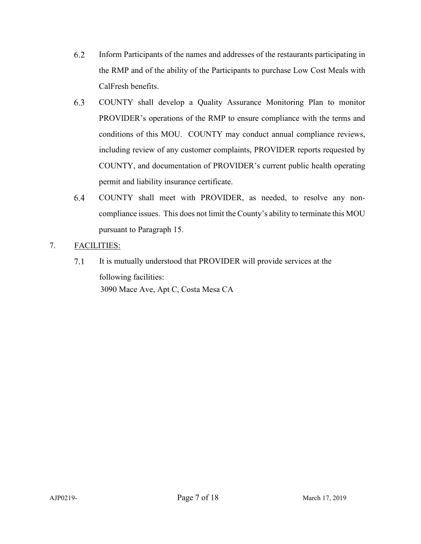- 6.2 Inform Participants of the names and addresses of the restaurants participating in the RMP and of the ability of the Participants to purchase Low Cost Meals with CalFresh benefits.
- 6.3 COUNTY shall develop a Quality Assurance Monitoring Plan to monitor PROVIDER's operations of the RMP to ensure compliance with the terms and conditions of this MOU. COUNTY may conduct annual compliance reviews, including review of any customer complaints, PROVIDER reports requested by COUNTY, and documentation of PROVIDER's current public health operating permit and liability insurance certificate.
- 6.4 COUNTY shall meet with PROVIDER, as needed, to resolve any noncompliance issues. This does not limit the County's ability to terminate this MOU pursuant to Paragraph [15.](#page-13-0)
- 7. FACILITIES:
	- It is mutually understood that PROVIDER will provide services at the  $7.1$ following facilities: 3090 Mace Ave, Apt C, Costa Mesa CA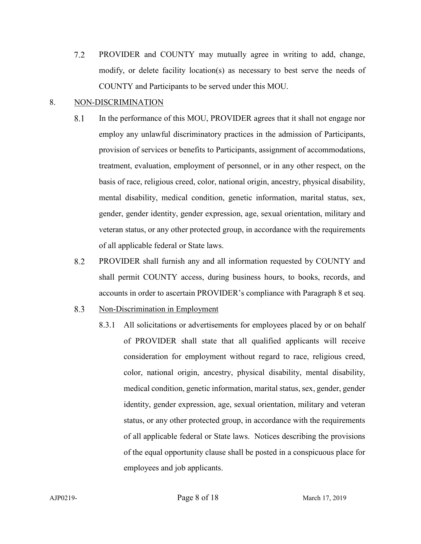$7.2$ PROVIDER and COUNTY may mutually agree in writing to add, change, modify, or delete facility location(s) as necessary to best serve the needs of COUNTY and Participants to be served under this MOU.

#### <span id="page-7-0"></span>8. NON-DISCRIMINATION

- 8.1 In the performance of this MOU, PROVIDER agrees that it shall not engage nor employ any unlawful discriminatory practices in the admission of Participants, provision of services or benefits to Participants, assignment of accommodations, treatment, evaluation, employment of personnel, or in any other respect, on the basis of race, religious creed, color, national origin, ancestry, physical disability, mental disability, medical condition, genetic information, marital status, sex, gender, gender identity, gender expression, age, sexual orientation, military and veteran status, or any other protected group, in accordance with the requirements of all applicable federal or State laws.
- 8.2 PROVIDER shall furnish any and all information requested by COUNTY and shall permit COUNTY access, during business hours, to books, records, and accounts in order to ascertain PROVIDER's compliance with Paragraph [8](#page-7-0) et seq.
- 8.3 Non-Discrimination in Employment
	- 8.3.1 All solicitations or advertisements for employees placed by or on behalf of PROVIDER shall state that all qualified applicants will receive consideration for employment without regard to race, religious creed, color, national origin, ancestry, physical disability, mental disability, medical condition, genetic information, marital status, sex, gender, gender identity, gender expression, age, sexual orientation, military and veteran status, or any other protected group, in accordance with the requirements of all applicable federal or State laws. Notices describing the provisions of the equal opportunity clause shall be posted in a conspicuous place for employees and job applicants.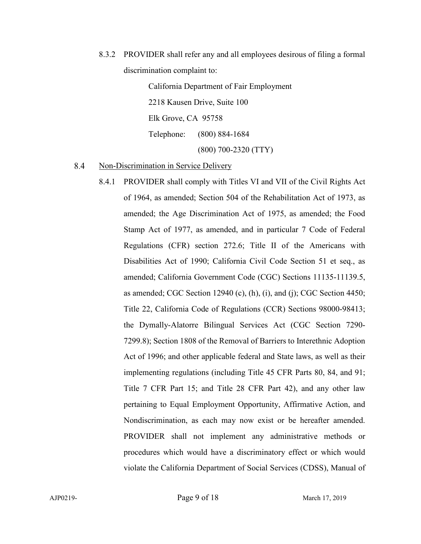8.3.2 PROVIDER shall refer any and all employees desirous of filing a formal discrimination complaint to:

> California Department of Fair Employment 2218 Kausen Drive, Suite 100 Elk Grove, CA 95758 Telephone: (800) 884-1684 (800) 700-2320 (TTY)

#### 8.4 Non-Discrimination in Service Delivery

8.4.1 PROVIDER shall comply with Titles VI and VII of the Civil Rights Act of 1964, as amended; Section 504 of the Rehabilitation Act of 1973, as amended; the Age Discrimination Act of 1975, as amended; the Food Stamp Act of 1977, as amended, and in particular 7 Code of Federal Regulations (CFR) section 272.6; Title II of the Americans with Disabilities Act of 1990; California Civil Code Section 51 et seq., as amended; California Government Code (CGC) Sections 11135-11139.5, as amended; CGC Section 12940 (c), (h), (i), and (j); CGC Section 4450; Title 22, California Code of Regulations (CCR) Sections 98000-98413; the Dymally-Alatorre Bilingual Services Act (CGC Section 7290- 7299.8); Section 1808 of the Removal of Barriers to Interethnic Adoption Act of 1996; and other applicable federal and State laws, as well as their implementing regulations (including Title 45 CFR Parts 80, 84, and 91; Title 7 CFR Part 15; and Title 28 CFR Part 42), and any other law pertaining to Equal Employment Opportunity, Affirmative Action, and Nondiscrimination, as each may now exist or be hereafter amended. PROVIDER shall not implement any administrative methods or procedures which would have a discriminatory effect or which would violate the California Department of Social Services (CDSS), Manual of

AJP0219- Page 9 of 18 March 17, 2019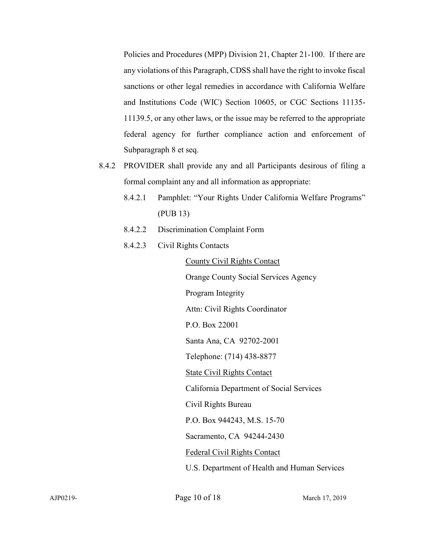Policies and Procedures (MPP) Division 21, Chapter 21-100. If there are any violations of this Paragraph, CDSS shall have the right to invoke fiscal sanctions or other legal remedies in accordance with California Welfare and Institutions Code (WIC) Section 10605, or CGC Sections 11135- 11139.5, or any other laws, or the issue may be referred to the appropriate federal agency for further compliance action and enforcement of Subparagraph [8](#page-7-0) et seq.

- 8.4.2 PROVIDER shall provide any and all Participants desirous of filing a formal complaint any and all information as appropriate:
	- 8.4.2.1 Pamphlet: "Your Rights Under California Welfare Programs" (PUB 13)
	- 8.4.2.2 Discrimination Complaint Form
	- 8.4.2.3 Civil Rights Contacts

County Civil Rights Contact

Orange County Social Services Agency

Program Integrity

Attn: Civil Rights Coordinator

P.O. Box 22001

Santa Ana, CA 92702-2001

Telephone: (714) 438-8877

State Civil Rights Contact

California Department of Social Services

Civil Rights Bureau

P.O. Box 944243, M.S. 15-70

Sacramento, CA 94244-2430

Federal Civil Rights Contact

U.S. Department of Health and Human Services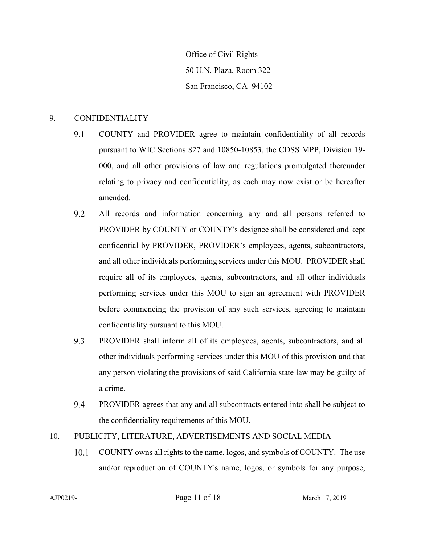Office of Civil Rights 50 U.N. Plaza, Room 322 San Francisco, CA 94102

#### 9. CONFIDENTIALITY

- 9.1 COUNTY and PROVIDER agree to maintain confidentiality of all records pursuant to WIC Sections 827 and 10850-10853, the CDSS MPP, Division 19- 000, and all other provisions of law and regulations promulgated thereunder relating to privacy and confidentiality, as each may now exist or be hereafter amended.
- 9.2 All records and information concerning any and all persons referred to PROVIDER by COUNTY or COUNTY's designee shall be considered and kept confidential by PROVIDER, PROVIDER's employees, agents, subcontractors, and all other individuals performing services under this MOU. PROVIDER shall require all of its employees, agents, subcontractors, and all other individuals performing services under this MOU to sign an agreement with PROVIDER before commencing the provision of any such services, agreeing to maintain confidentiality pursuant to this MOU.
- 9.3 PROVIDER shall inform all of its employees, agents, subcontractors, and all other individuals performing services under this MOU of this provision and that any person violating the provisions of said California state law may be guilty of a crime.
- 9.4 PROVIDER agrees that any and all subcontracts entered into shall be subject to the confidentiality requirements of this MOU.

#### 10. PUBLICITY, LITERATURE, ADVERTISEMENTS AND SOCIAL MEDIA

10.1 COUNTY owns all rights to the name, logos, and symbols of COUNTY. The use and/or reproduction of COUNTY's name, logos, or symbols for any purpose,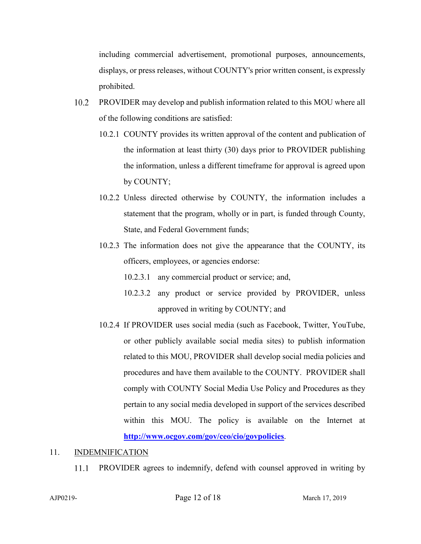including commercial advertisement, promotional purposes, announcements, displays, or press releases, without COUNTY's prior written consent, is expressly prohibited.

- 10.2 PROVIDER may develop and publish information related to this MOU where all of the following conditions are satisfied:
	- 10.2.1 COUNTY provides its written approval of the content and publication of the information at least thirty (30) days prior to PROVIDER publishing the information, unless a different timeframe for approval is agreed upon by COUNTY;
	- 10.2.2 Unless directed otherwise by COUNTY, the information includes a statement that the program, wholly or in part, is funded through County, State, and Federal Government funds;
	- 10.2.3 The information does not give the appearance that the COUNTY, its officers, employees, or agencies endorse:
		- 10.2.3.1 any commercial product or service; and,
		- 10.2.3.2 any product or service provided by PROVIDER, unless approved in writing by COUNTY; and
	- 10.2.4 If PROVIDER uses social media (such as Facebook, Twitter, YouTube, or other publicly available social media sites) to publish information related to this MOU, PROVIDER shall develop social media policies and procedures and have them available to the COUNTY. PROVIDER shall comply with COUNTY Social Media Use Policy and Procedures as they pertain to any social media developed in support of the services described within this MOU. The policy is available on the Internet at **<http://www.ocgov.com/gov/ceo/cio/govpolicies>**.

#### 11. INDEMNIFICATION

11.1 PROVIDER agrees to indemnify, defend with counsel approved in writing by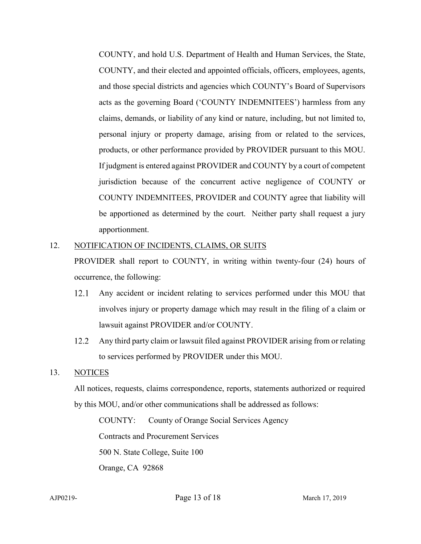COUNTY, and hold U.S. Department of Health and Human Services, the State, COUNTY, and their elected and appointed officials, officers, employees, agents, and those special districts and agencies which COUNTY's Board of Supervisors acts as the governing Board ('COUNTY INDEMNITEES') harmless from any claims, demands, or liability of any kind or nature, including, but not limited to, personal injury or property damage, arising from or related to the services, products, or other performance provided by PROVIDER pursuant to this MOU. If judgment is entered against PROVIDER and COUNTY by a court of competent jurisdiction because of the concurrent active negligence of COUNTY or COUNTY INDEMNITEES, PROVIDER and COUNTY agree that liability will be apportioned as determined by the court. Neither party shall request a jury apportionment.

#### 12. NOTIFICATION OF INCIDENTS, CLAIMS, OR SUITS

PROVIDER shall report to COUNTY, in writing within twenty-four (24) hours of occurrence, the following:

- $12.1$ Any accident or incident relating to services performed under this MOU that involves injury or property damage which may result in the filing of a claim or lawsuit against PROVIDER and/or COUNTY.
- 12.2 Any third party claim or lawsuit filed against PROVIDER arising from or relating to services performed by PROVIDER under this MOU.

#### <span id="page-12-0"></span>13. NOTICES

All notices, requests, claims correspondence, reports, statements authorized or required by this MOU, and/or other communications shall be addressed as follows:

COUNTY: County of Orange Social Services Agency Contracts and Procurement Services

500 N. State College, Suite 100

Orange, CA 92868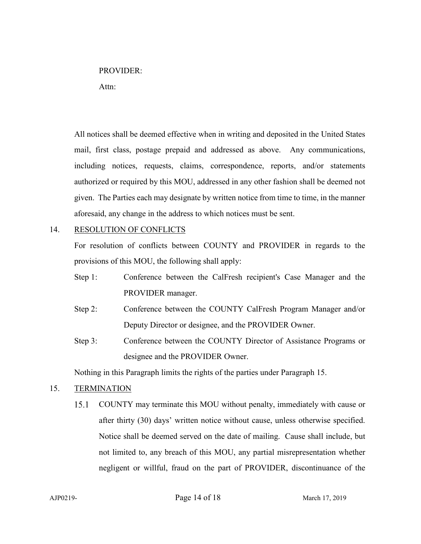#### PROVIDER:

Attn:

All notices shall be deemed effective when in writing and deposited in the United States mail, first class, postage prepaid and addressed as above. Any communications, including notices, requests, claims, correspondence, reports, and/or statements authorized or required by this MOU, addressed in any other fashion shall be deemed not given. The Parties each may designate by written notice from time to time, in the manner aforesaid, any change in the address to which notices must be sent.

#### 14. RESOLUTION OF CONFLICTS

For resolution of conflicts between COUNTY and PROVIDER in regards to the provisions of this MOU, the following shall apply:

- Step 1: Conference between the CalFresh recipient's Case Manager and the PROVIDER manager.
- Step 2: Conference between the COUNTY CalFresh Program Manager and/or Deputy Director or designee, and the PROVIDER Owner.
- Step 3: Conference between the COUNTY Director of Assistance Programs or designee and the PROVIDER Owner.

Nothing in this Paragraph limits the rights of the parties under Paragraph [15.](#page-13-0)

#### <span id="page-13-0"></span>15. TERMINATION

 $15.1$ COUNTY may terminate this MOU without penalty, immediately with cause or after thirty (30) days' written notice without cause, unless otherwise specified. Notice shall be deemed served on the date of mailing. Cause shall include, but not limited to, any breach of this MOU, any partial misrepresentation whether negligent or willful, fraud on the part of PROVIDER, discontinuance of the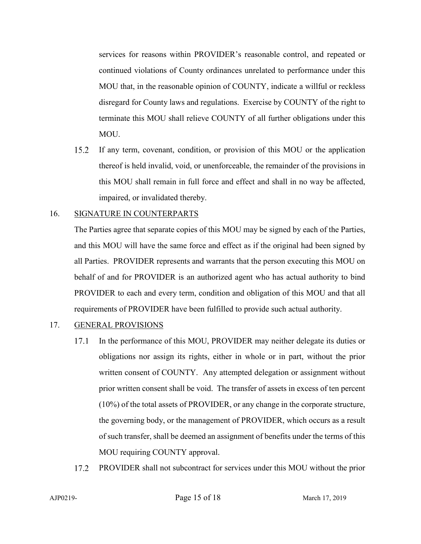services for reasons within PROVIDER's reasonable control, and repeated or continued violations of County ordinances unrelated to performance under this MOU that, in the reasonable opinion of COUNTY, indicate a willful or reckless disregard for County laws and regulations. Exercise by COUNTY of the right to terminate this MOU shall relieve COUNTY of all further obligations under this MOU.

15.2 If any term, covenant, condition, or provision of this MOU or the application thereof is held invalid, void, or unenforceable, the remainder of the provisions in this MOU shall remain in full force and effect and shall in no way be affected, impaired, or invalidated thereby.

#### 16. SIGNATURE IN COUNTERPARTS

The Parties agree that separate copies of this MOU may be signed by each of the Parties, and this MOU will have the same force and effect as if the original had been signed by all Parties. PROVIDER represents and warrants that the person executing this MOU on behalf of and for PROVIDER is an authorized agent who has actual authority to bind PROVIDER to each and every term, condition and obligation of this MOU and that all requirements of PROVIDER have been fulfilled to provide such actual authority.

#### 17. GENERAL PROVISIONS

- 17.1 In the performance of this MOU, PROVIDER may neither delegate its duties or obligations nor assign its rights, either in whole or in part, without the prior written consent of COUNTY. Any attempted delegation or assignment without prior written consent shall be void. The transfer of assets in excess of ten percent (10%) of the total assets of PROVIDER, or any change in the corporate structure, the governing body, or the management of PROVIDER, which occurs as a result of such transfer, shall be deemed an assignment of benefits under the terms of this MOU requiring COUNTY approval.
- 17.2 PROVIDER shall not subcontract for services under this MOU without the prior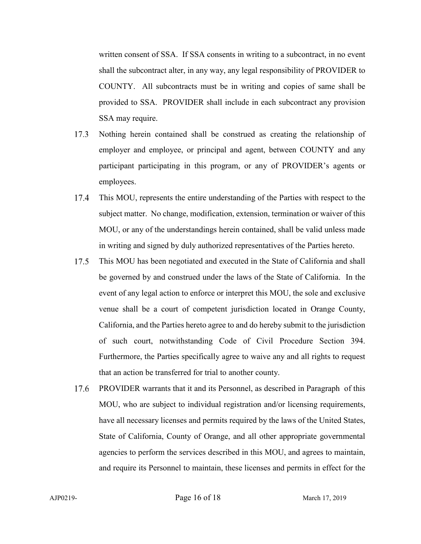written consent of SSA. If SSA consents in writing to a subcontract, in no event shall the subcontract alter, in any way, any legal responsibility of PROVIDER to COUNTY. All subcontracts must be in writing and copies of same shall be provided to SSA. PROVIDER shall include in each subcontract any provision SSA may require.

- 17.3 Nothing herein contained shall be construed as creating the relationship of employer and employee, or principal and agent, between COUNTY and any participant participating in this program, or any of PROVIDER's agents or employees.
- 17.4 This MOU, represents the entire understanding of the Parties with respect to the subject matter. No change, modification, extension, termination or waiver of this MOU, or any of the understandings herein contained, shall be valid unless made in writing and signed by duly authorized representatives of the Parties hereto.
- This MOU has been negotiated and executed in the State of California and shall 17.5 be governed by and construed under the laws of the State of California. In the event of any legal action to enforce or interpret this MOU, the sole and exclusive venue shall be a court of competent jurisdiction located in Orange County, California, and the Parties hereto agree to and do hereby submit to the jurisdiction of such court, notwithstanding Code of Civil Procedure Section 394. Furthermore, the Parties specifically agree to waive any and all rights to request that an action be transferred for trial to another county.
- 17.6 PROVIDER warrants that it and its Personnel, as described in Paragraph of this MOU, who are subject to individual registration and/or licensing requirements, have all necessary licenses and permits required by the laws of the United States, State of California, County of Orange, and all other appropriate governmental agencies to perform the services described in this MOU, and agrees to maintain, and require its Personnel to maintain, these licenses and permits in effect for the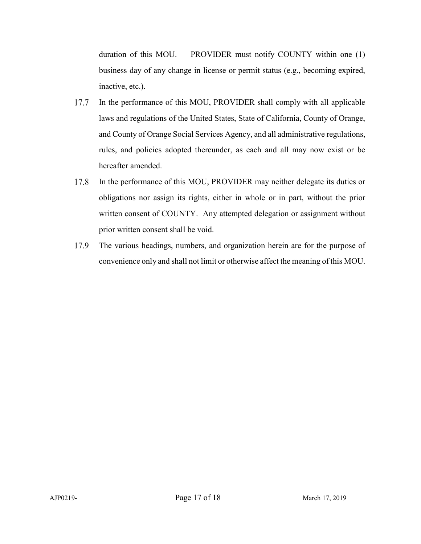duration of this MOU. PROVIDER must notify COUNTY within one (1) business day of any change in license or permit status (e.g., becoming expired, inactive, etc.).

- 17.7 In the performance of this MOU, PROVIDER shall comply with all applicable laws and regulations of the United States, State of California, County of Orange, and County of Orange Social Services Agency, and all administrative regulations, rules, and policies adopted thereunder, as each and all may now exist or be hereafter amended.
- 17.8 In the performance of this MOU, PROVIDER may neither delegate its duties or obligations nor assign its rights, either in whole or in part, without the prior written consent of COUNTY. Any attempted delegation or assignment without prior written consent shall be void.
- 17.9 The various headings, numbers, and organization herein are for the purpose of convenience only and shall not limit or otherwise affect the meaning of this MOU.